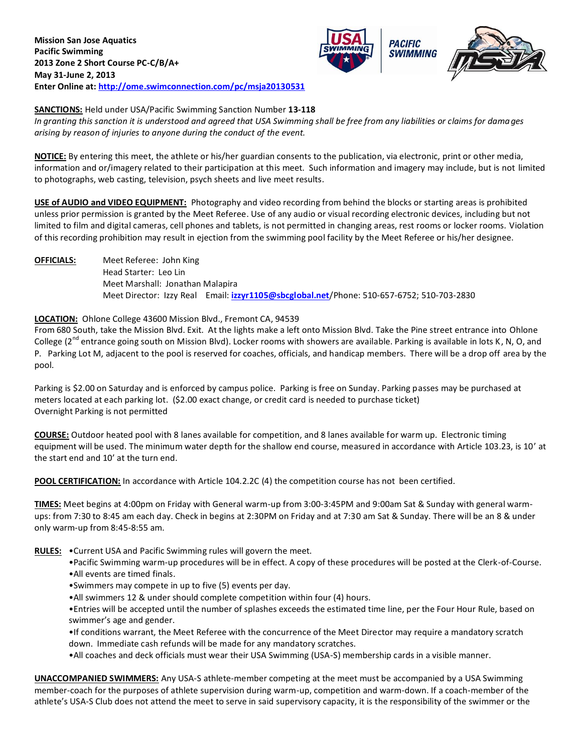



## **SANCTIONS:** Held under USA/Pacific Swimming Sanction Number **13-118**

*In granting this sanction it is understood and agreed that USA Swimming shall be free from any liabilities or claims for damages arising by reason of injuries to anyone during the conduct of the event.*

**NOTICE:** By entering this meet, the athlete or his/her guardian consents to the publication, via electronic, print or other media, information and or/imagery related to their participation at this meet. Such information and imagery may include, but is not limited to photographs, web casting, television, psych sheets and live meet results.

**USE of AUDIO and VIDEO EQUIPMENT:** Photography and video recording from behind the blocks or starting areas is prohibited unless prior permission is granted by the Meet Referee. Use of any audio or visual recording electronic devices, including but not limited to film and digital cameras, cell phones and tablets, is not permitted in changing areas, rest rooms or locker rooms. Violation of this recording prohibition may result in ejection from the swimming pool facility by the Meet Referee or his/her designee.

**OFFICIALS:** Meet Referee: John King

Head Starter: Leo Lin Meet Marshall: Jonathan Malapira Meet Director: Izzy Real Email: **[izzyr1105@sbcglobal.net](mailto:izzyr1105@sbcglobal.net)**/Phone: 510-657-6752; 510-703-2830

## **LOCATION:** Ohlone College 43600 Mission Blvd., Fremont CA, 94539

From 680 South, take the Mission Blvd. Exit. At the lights make a left onto Mission Blvd. Take the Pine street entrance into Ohlone College ( $2<sup>nd</sup>$  entrance going south on Mission Blvd). Locker rooms with showers are available. Parking is available in lots K, N, O, and P. Parking Lot M, adjacent to the pool is reserved for coaches, officials, and handicap members. There will be a drop off area by the pool.

Parking is \$2.00 on Saturday and is enforced by campus police. Parking is free on Sunday. Parking passes may be purchased at meters located at each parking lot. (\$2.00 exact change, or credit card is needed to purchase ticket) Overnight Parking is not permitted

**COURSE:** Outdoor heated pool with 8 lanes available for competition, and 8 lanes available for warm up. Electronic timing equipment will be used. The minimum water depth for the shallow end course, measured in accordance with Article 103.23, is 10' at the start end and 10' at the turn end.

**POOL CERTIFICATION:** In accordance with Article 104.2.2C (4) the competition course has not been certified.

**TIMES:** Meet begins at 4:00pm on Friday with General warm-up from 3:00-3:45PM and 9:00am Sat & Sunday with general warmups: from 7:30 to 8:45 am each day. Check in begins at 2:30PM on Friday and at 7:30 am Sat & Sunday. There will be an 8 & under only warm-up from 8:45-8:55 am.

- **RULES:** •Current USA and Pacific Swimming rules will govern the meet.
	- •Pacific Swimming warm-up procedures will be in effect. A copy of these procedures will be posted at the Clerk-of-Course.
	- •All events are timed finals.
	- •Swimmers may compete in up to five (5) events per day.
	- •All swimmers 12 & under should complete competition within four (4) hours.

•Entries will be accepted until the number of splashes exceeds the estimated time line, per the Four Hour Rule, based on swimmer's age and gender.

•If conditions warrant, the Meet Referee with the concurrence of the Meet Director may require a mandatory scratch down. Immediate cash refunds will be made for any mandatory scratches.

•All coaches and deck officials must wear their USA Swimming (USA-S) membership cards in a visible manner.

**UNACCOMPANIED SWIMMERS:** Any USA-S athlete-member competing at the meet must be accompanied by a USA Swimming member-coach for the purposes of athlete supervision during warm-up, competition and warm-down. If a coach-member of the athlete's USA-S Club does not attend the meet to serve in said supervisory capacity, it is the responsibility of the swimmer or the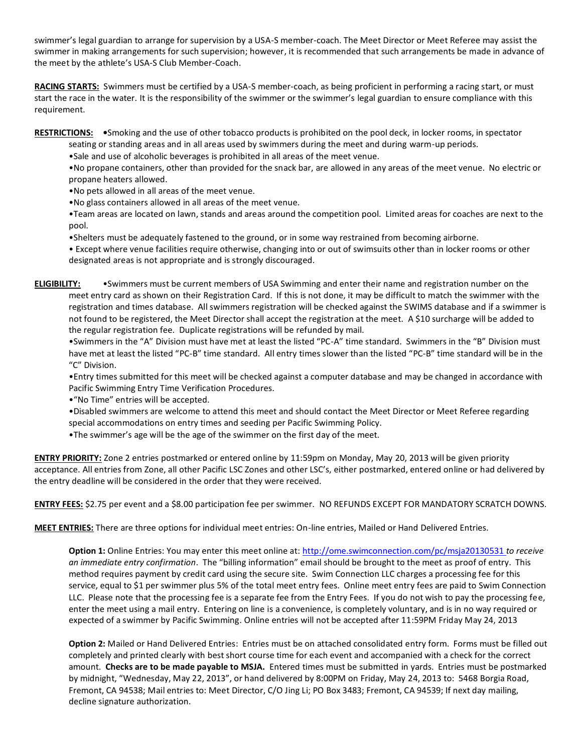swimmer's legal guardian to arrange for supervision by a USA-S member-coach. The Meet Director or Meet Referee may assist the swimmer in making arrangements for such supervision; however, it is recommended that such arrangements be made in advance of the meet by the athlete's USA-S Club Member-Coach.

**RACING STARTS:** Swimmers must be certified by a USA-S member-coach, as being proficient in performing a racing start, or must start the race in the water. It is the responsibility of the swimmer or the swimmer's legal guardian to ensure compliance with this requirement.

**RESTRICTIONS: •**Smoking and the use of other tobacco products is prohibited on the pool deck, in locker rooms, in spectator

seating or standing areas and in all areas used by swimmers during the meet and during warm-up periods.

•Sale and use of alcoholic beverages is prohibited in all areas of the meet venue.

•No propane containers, other than provided for the snack bar, are allowed in any areas of the meet venue. No electric or propane heaters allowed.

•No pets allowed in all areas of the meet venue.

•No glass containers allowed in all areas of the meet venue.

•Team areas are located on lawn, stands and areas around the competition pool. Limited areas for coaches are next to the pool.

•Shelters must be adequately fastened to the ground, or in some way restrained from becoming airborne.

• Except where venue facilities require otherwise, changing into or out of swimsuits other than in locker rooms or other designated areas is not appropriate and is strongly discouraged.

**ELIGIBILITY:** •Swimmers must be current members of USA Swimming and enter their name and registration number on the meet entry card as shown on their Registration Card. If this is not done, it may be difficult to match the swimmer with the registration and times database. All swimmers registration will be checked against the SWIMS database and if a swimmer is not found to be registered, the Meet Director shall accept the registration at the meet. A \$10 surcharge will be added to the regular registration fee. Duplicate registrations will be refunded by mail.

•Swimmers in the "A" Division must have met at least the listed "PC-A" time standard. Swimmers in the "B" Division must have met at least the listed "PC-B" time standard. All entry times slower than the listed "PC-B" time standard will be in the "C" Division.

•Entry times submitted for this meet will be checked against a computer database and may be changed in accordance with Pacific Swimming Entry Time Verification Procedures.

•"No Time" entries will be accepted.

•Disabled swimmers are welcome to attend this meet and should contact the Meet Director or Meet Referee regarding

special accommodations on entry times and seeding per Pacific Swimming Policy.

•The swimmer's age will be the age of the swimmer on the first day of the meet.

**ENTRY PRIORITY:** Zone 2 entries postmarked or entered online by 11:59pm on Monday, May 20, 2013 will be given priority acceptance. All entries from Zone, all other Pacific LSC Zones and other LSC's, either postmarked, entered online or had delivered by the entry deadline will be considered in the order that they were received.

**ENTRY FEES:** \$2.75 per event and a \$8.00 participation fee per swimmer. NO REFUNDS EXCEPT FOR MANDATORY SCRATCH DOWNS.

**MEET ENTRIES:** There are three options for individual meet entries: On-line entries, Mailed or Hand Delivered Entries.

**Option 1:** Online Entries: You may enter this meet online at:<http://ome.swimconnection.com/pc/msja20130531> *to receive an immediate entry confirmation*. The "billing information" email should be brought to the meet as proof of entry. This method requires payment by credit card using the secure site. Swim Connection LLC charges a processing fee for this service, equal to \$1 per swimmer plus 5% of the total meet entry fees. Online meet entry fees are paid to Swim Connection LLC. Please note that the processing fee is a separate fee from the Entry Fees. If you do not wish to pay the processing fee, enter the meet using a mail entry. Entering on line is a convenience, is completely voluntary, and is in no way required or expected of a swimmer by Pacific Swimming. Online entries will not be accepted after 11:59PM Friday May 24, 2013

**Option 2:** Mailed or Hand Delivered Entries: Entries must be on attached consolidated entry form. Forms must be filled out completely and printed clearly with best short course time for each event and accompanied with a check for the correct amount. **Checks are to be made payable to MSJA.** Entered times must be submitted in yards. Entries must be postmarked by midnight, "Wednesday, May 22, 2013", or hand delivered by 8:00PM on Friday, May 24, 2013 to: 5468 Borgia Road, Fremont, CA 94538; Mail entries to: Meet Director, C/O Jing Li; PO Box 3483; Fremont, CA 94539; If next day mailing, decline signature authorization.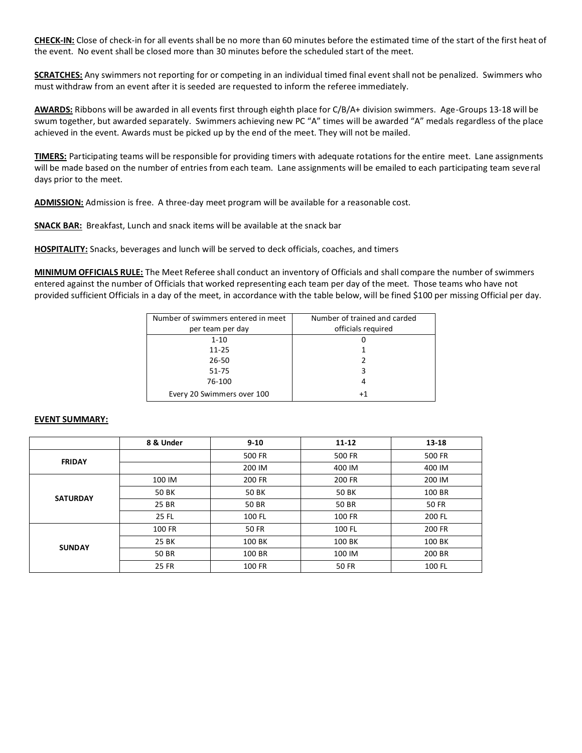**CHECK-IN:** Close of check-in for all events shall be no more than 60 minutes before the estimated time of the start of the first heat of the event. No event shall be closed more than 30 minutes before the scheduled start of the meet.

**SCRATCHES:** Any swimmers not reporting for or competing in an individual timed final event shall not be penalized. Swimmers who must withdraw from an event after it is seeded are requested to inform the referee immediately.

**AWARDS:** Ribbons will be awarded in all events first through eighth place for C/B/A+ division swimmers. Age-Groups 13-18 will be swum together, but awarded separately. Swimmers achieving new PC "A" times will be awarded "A" medals regardless of the place achieved in the event. Awards must be picked up by the end of the meet. They will not be mailed.

**TIMERS:** Participating teams will be responsible for providing timers with adequate rotations for the entire meet. Lane assignments will be made based on the number of entries from each team. Lane assignments will be emailed to each participating team several days prior to the meet.

**ADMISSION:** Admission is free. A three-day meet program will be available for a reasonable cost.

**SNACK BAR:** Breakfast, Lunch and snack items will be available at the snack bar

**HOSPITALITY:** Snacks, beverages and lunch will be served to deck officials, coaches, and timers

**MINIMUM OFFICIALS RULE:** The Meet Referee shall conduct an inventory of Officials and shall compare the number of swimmers entered against the number of Officials that worked representing each team per day of the meet. Those teams who have not provided sufficient Officials in a day of the meet, in accordance with the table below, will be fined \$100 per missing Official per day.

| Number of swimmers entered in meet | Number of trained and carded |
|------------------------------------|------------------------------|
| per team per day                   | officials required           |
| $1 - 10$                           |                              |
| $11 - 25$                          |                              |
| 26-50                              |                              |
| 51-75                              | 3                            |
| 76-100                             | 4                            |
| Every 20 Swimmers over 100         | $^{+1}$                      |

## **EVENT SUMMARY:**

|                 | 8 & Under    | $9 - 10$     | $11 - 12$     | 13-18        |
|-----------------|--------------|--------------|---------------|--------------|
| <b>FRIDAY</b>   |              | 500 FR       | 500 FR        | 500 FR       |
|                 |              | 200 IM       | 400 IM        | 400 IM       |
| <b>SATURDAY</b> | 100 IM       | 200 FR       | <b>200 FR</b> | 200 IM       |
|                 | 50 BK        | <b>50 BK</b> | 50 BK         | 100 BR       |
|                 | 25 BR        | 50 BR        | 50 BR         | <b>50 FR</b> |
|                 | 25 FL        | 100 FL       | 100 FR        | 200 FL       |
| <b>SUNDAY</b>   | 100 FR       | <b>50 FR</b> | 100 FL        | 200 FR       |
|                 | 25 BK        | 100 BK       | 100 BK        | 100 BK       |
|                 | 50 BR        | 100 BR       | 100 IM        | 200 BR       |
|                 | <b>25 FR</b> | 100 FR       | <b>50 FR</b>  | 100 FL       |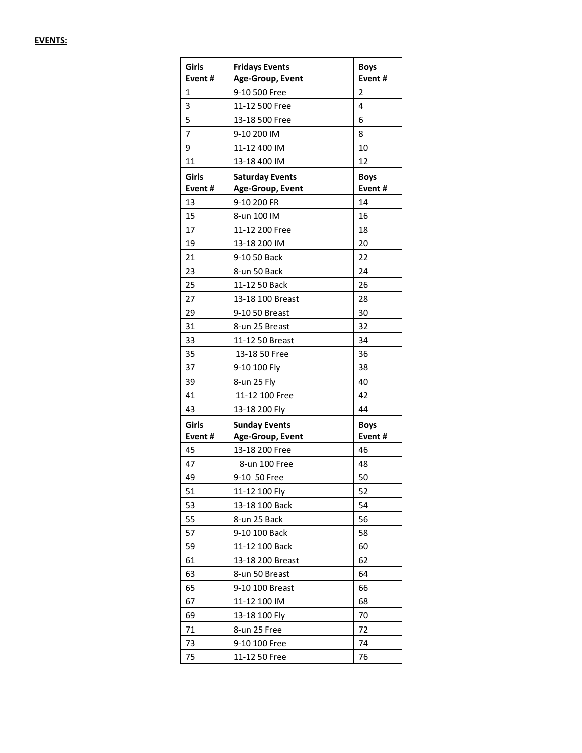| Girls<br>Event# | <b>Fridays Events</b><br>Age-Group, Event | <b>Boys</b><br>Event# |
|-----------------|-------------------------------------------|-----------------------|
| $\mathbf{1}$    | 9-10 500 Free                             | 2                     |
| 3               | 11-12 500 Free                            | 4                     |
| 5               | 13-18 500 Free                            | 6                     |
| 7               | 9-10 200 IM                               | 8                     |
| 9               | 11-12 400 IM                              | 10                    |
| 11              | 13-18 400 IM                              | 12                    |
| Girls           | <b>Saturday Events</b>                    | <b>Boys</b>           |
| Event#          | Age-Group, Event                          | Event#                |
| 13              | 9-10 200 FR                               | 14                    |
| 15              | 8-un 100 IM                               | 16                    |
| 17              | 11-12 200 Free                            | 18                    |
| 19              | 13-18 200 IM                              | 20                    |
| 21              | 9-10 50 Back                              | 22                    |
| 23              | 8-un 50 Back                              | 24                    |
| 25              | 11-12 50 Back                             | 26                    |
| 27              | 13-18 100 Breast                          | 28                    |
| 29              | 9-10 50 Breast                            | 30                    |
| 31              | 8-un 25 Breast                            | 32                    |
| 33              | 11-12 50 Breast                           | 34                    |
| 35              | 13-18 50 Free                             | 36                    |
| 37              | 9-10 100 Fly                              | 38                    |
| 39              | 8-un 25 Fly                               | 40                    |
| 41              | 11-12 100 Free                            | 42                    |
| 43              | 13-18 200 Fly                             | 44                    |
| Girls           | <b>Sunday Events</b>                      | <b>Boys</b>           |
| Event#          | Age-Group, Event                          | Event#                |
| 45              | 13-18 200 Free                            | 46                    |
| 47              | 8-un 100 Free                             | 48                    |
| 49              | 9-10 50 Free                              | 50                    |
| 51              | 11-12 100 Fly                             | 52                    |
| 53              | 13-18 100 Back                            | 54                    |
| 55              | 8-un 25 Back                              | 56                    |
| 57              | 9-10 100 Back                             | 58                    |
| 59              | 11-12 100 Back                            | 60                    |
| 61              | 13-18 200 Breast                          | 62                    |
| 63              | 8-un 50 Breast                            | 64                    |
| 65              | 9-10 100 Breast                           | 66                    |
| 67              | 11-12 100 IM                              | 68                    |
| 69              | 13-18 100 Fly                             | 70                    |
| 71              | 8-un 25 Free                              | 72                    |
| 73              | 9-10 100 Free                             | 74                    |
| 75              | 11-12 50 Free                             | 76                    |